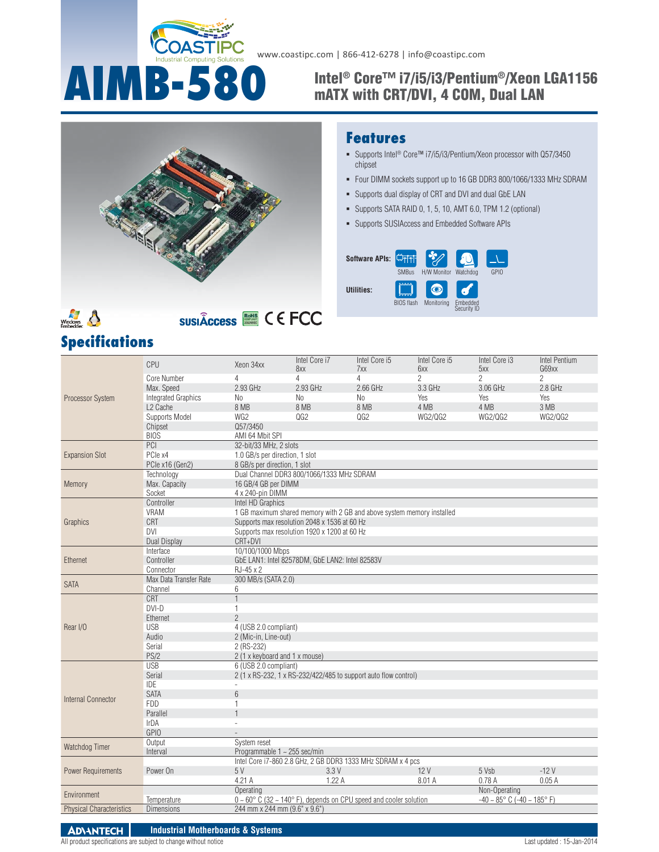

www.coastipc.com | 866-412-6278 | info@coastipc.com

# **AIMB-580** Intel® Core™ i7/i5/i3/Pentium®/Xeon LGA1156 **mATX with CRT/DVI, 4 COM, Dual LAN**



# Windows<br>Embedder

**Specifications**

**SUSIÂCCESS SEE CEECO** 

#### **Features**

- Supports Intel<sup>®</sup> Core™ i7/i5/i3/Pentium/Xeon processor with Q57/3450 chipset
- Four DIMM sockets support up to 16 GB DDR3 800/1066/1333 MHz SDRAM
- Supports dual display of CRT and DVI and dual GbE LAN
- Supports SATA RAID 0, 1, 5, 10, AMT 6.0, TPM 1.2 (optional)
- Supports SUSIAccess and Embedded Software APIs



|                                                                                       | CPU                        | Xeon 34xx                                                                                                                            | Intel Core i7                                   | Intel Core i5                                                   | Intel Core i5  | Intel Core i3  | Intel Pentium  |  |
|---------------------------------------------------------------------------------------|----------------------------|--------------------------------------------------------------------------------------------------------------------------------------|-------------------------------------------------|-----------------------------------------------------------------|----------------|----------------|----------------|--|
| <b>Processor System</b>                                                               |                            |                                                                                                                                      | 8xx                                             | 7xx                                                             | 6xx            | 5xx            | G69xx          |  |
|                                                                                       | Core Number                | 4                                                                                                                                    | $\overline{4}$                                  | 4                                                               | $\overline{2}$ | $\overline{2}$ | $\overline{2}$ |  |
|                                                                                       | Max. Speed                 | $2.93$ GHz                                                                                                                           | 2.93 GHz                                        | $2.66$ GHz                                                      | 3.3 GHz        | $3.06$ GHz     | 2.8 GHz        |  |
|                                                                                       | <b>Integrated Graphics</b> | No                                                                                                                                   | No                                              | N <sub>0</sub>                                                  | Yes            | Yes            | Yes            |  |
|                                                                                       | L <sub>2</sub> Cache       | 8 MB                                                                                                                                 | 8 MB                                            | 8 MB                                                            | 4 MB           | 4 MB           | 3 MB           |  |
|                                                                                       | Supports Model             | WG <sub>2</sub>                                                                                                                      | OG2                                             | QG2                                                             | <b>WG2/QG2</b> | <b>WG2/QG2</b> | <b>WG2/QG2</b> |  |
|                                                                                       | Chipset                    | Q57/3450                                                                                                                             |                                                 |                                                                 |                |                |                |  |
|                                                                                       | <b>BIOS</b>                | AMI 64 Mbit SPI                                                                                                                      |                                                 |                                                                 |                |                |                |  |
|                                                                                       | PCI                        | 32-bit/33 MHz, 2 slots                                                                                                               |                                                 |                                                                 |                |                |                |  |
| <b>Expansion Slot</b>                                                                 | PCle x4                    | 1.0 GB/s per direction, 1 slot                                                                                                       |                                                 |                                                                 |                |                |                |  |
|                                                                                       | PCle x16 (Gen2)            | 8 GB/s per direction, 1 slot                                                                                                         |                                                 |                                                                 |                |                |                |  |
|                                                                                       | Technology                 |                                                                                                                                      | Dual Channel DDR3 800/1066/1333 MHz SDRAM       |                                                                 |                |                |                |  |
| Memory                                                                                | Max. Capacity              | 16 GB/4 GB per DIMM                                                                                                                  |                                                 |                                                                 |                |                |                |  |
|                                                                                       | Socket                     | 4 x 240-pin DIMM                                                                                                                     |                                                 |                                                                 |                |                |                |  |
|                                                                                       | Controller                 | Intel HD Graphics                                                                                                                    |                                                 |                                                                 |                |                |                |  |
|                                                                                       | VRAM                       | 1 GB maximum shared memory with 2 GB and above system memory installed                                                               |                                                 |                                                                 |                |                |                |  |
| Graphics                                                                              | CRT                        |                                                                                                                                      | Supports max resolution 2048 x 1536 at 60 Hz    |                                                                 |                |                |                |  |
|                                                                                       | <b>DVI</b>                 |                                                                                                                                      | Supports max resolution 1920 x 1200 at 60 Hz    |                                                                 |                |                |                |  |
|                                                                                       | <b>Dual Display</b>        | CRT+DVI                                                                                                                              |                                                 |                                                                 |                |                |                |  |
|                                                                                       | Interface                  | 10/100/1000 Mbps                                                                                                                     |                                                 |                                                                 |                |                |                |  |
| Ethernet                                                                              | Controller                 |                                                                                                                                      | GbE LAN1: Intel 82578DM, GbE LAN2: Intel 82583V |                                                                 |                |                |                |  |
|                                                                                       | Connector                  | RJ-45 x 2                                                                                                                            |                                                 |                                                                 |                |                |                |  |
| <b>SATA</b>                                                                           | Max Data Transfer Rate     | 300 MB/s (SATA 2.0)                                                                                                                  |                                                 |                                                                 |                |                |                |  |
|                                                                                       | Channel                    | 6                                                                                                                                    |                                                 |                                                                 |                |                |                |  |
|                                                                                       | <b>CRT</b>                 | $\mathbf{1}$                                                                                                                         |                                                 |                                                                 |                |                |                |  |
|                                                                                       | $DVI-D$                    | $\mathbf{1}$                                                                                                                         |                                                 |                                                                 |                |                |                |  |
|                                                                                       | Ethernet                   | $\overline{2}$                                                                                                                       |                                                 |                                                                 |                |                |                |  |
| Rear I/O                                                                              | <b>USB</b>                 | 4 (USB 2.0 compliant)                                                                                                                |                                                 |                                                                 |                |                |                |  |
|                                                                                       | Audio                      | 2 (Mic-in, Line-out)                                                                                                                 |                                                 |                                                                 |                |                |                |  |
|                                                                                       | Serial                     | 2 (RS-232)                                                                                                                           |                                                 |                                                                 |                |                |                |  |
|                                                                                       | PS/2                       | 2 (1 x keyboard and 1 x mouse)                                                                                                       |                                                 |                                                                 |                |                |                |  |
|                                                                                       | <b>USB</b>                 | 6 (USB 2.0 compliant)                                                                                                                |                                                 |                                                                 |                |                |                |  |
|                                                                                       | Serial                     |                                                                                                                                      |                                                 | 2 (1 x RS-232, 1 x RS-232/422/485 to support auto flow control) |                |                |                |  |
|                                                                                       | <b>IDE</b>                 |                                                                                                                                      |                                                 |                                                                 |                |                |                |  |
|                                                                                       | <b>SATA</b>                | $6\phantom{a}$                                                                                                                       |                                                 |                                                                 |                |                |                |  |
| Internal Connector                                                                    | <b>FDD</b>                 | $\mathbf{1}$                                                                                                                         |                                                 |                                                                 |                |                |                |  |
|                                                                                       | Parallel                   | $\mathbf{1}$                                                                                                                         |                                                 |                                                                 |                |                |                |  |
|                                                                                       | IrDA                       |                                                                                                                                      |                                                 |                                                                 |                |                |                |  |
|                                                                                       | <b>GPIO</b>                |                                                                                                                                      |                                                 |                                                                 |                |                |                |  |
| Watchdog Timer                                                                        | Output                     | System reset                                                                                                                         |                                                 |                                                                 |                |                |                |  |
|                                                                                       | Interval                   | Programmable 1 ~ 255 sec/min                                                                                                         |                                                 |                                                                 |                |                |                |  |
| <b>Power Requirements</b>                                                             |                            |                                                                                                                                      |                                                 | Intel Core i7-860 2.8 GHz, 2 GB DDR3 1333 MHz SDRAM x 4 pcs     |                |                |                |  |
|                                                                                       | Power On                   | 5 V                                                                                                                                  | 3.3V                                            |                                                                 | 12V            | 5 Vsb          | $-12V$         |  |
|                                                                                       |                            | 4.21 A                                                                                                                               | 1.22A                                           |                                                                 | 8.01 A         | 0.78A          | 0.05A          |  |
|                                                                                       |                            | Operating                                                                                                                            |                                                 |                                                                 |                | Non-Operating  |                |  |
| Environment                                                                           | Temperature                | $0 \sim 60^{\circ}$ C (32 ~ 140° F), depends on CPU speed and cooler solution<br>$-40 \sim 85^{\circ}$ C ( $-40 \sim 185^{\circ}$ F) |                                                 |                                                                 |                |                |                |  |
| 244 mm x 244 mm (9.6" x 9.6")<br><b>Physical Characteristics</b><br><b>Dimensions</b> |                            |                                                                                                                                      |                                                 |                                                                 |                |                |                |  |
|                                                                                       |                            |                                                                                                                                      |                                                 |                                                                 |                |                |                |  |
|                                                                                       |                            |                                                                                                                                      |                                                 |                                                                 |                |                |                |  |